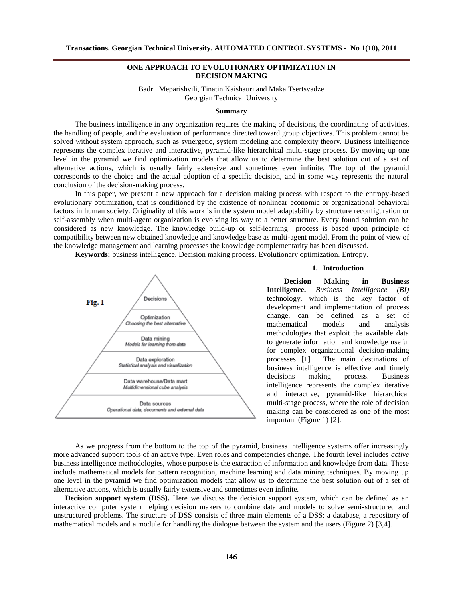# **ONE APPROACH TO EVOLUTIONARY OPTIMIZATION IN DECISION MAKING**

Badri Meparishvili, Tinatin Kaishauri and Maka Tsertsvadze Georgian Technical University

### **Summary**

The business intelligence in any organization requires the making of decisions, the coordinating of activities, the handling of people, and the evaluation of performance directed toward group objectives. This problem cannot be solved without system approach, such as synergetic, system modeling and complexity theory. Business intelligence represents the complex iterative and interactive, pyramid-like hierarchical multi-stage process. By moving up one level in the pyramid we find optimization models that allow us to determine the best solution out of a set of alternative actions, which is usually fairly extensive and sometimes even infinite. The top of the pyramid corresponds to the choice and the actual adoption of a specific decision, and in some way represents the natural conclusion of the decision-making process.

In this paper, we present a new approach for a decision making process with respect to the entropy-based evolutionary optimization, that is conditioned by the existence of nonlinear economic or organizational behavioral factors in human society. Originality of this work is in the system model adaptability by structure reconfiguration or self-assembly when multi-agent organization is evolving its way to a better structure. Every found solution can be considered as new knowledge. The knowledge build-up or self-learning process is based upon principle of compatibility between new obtained knowledge and knowledge base as multi-agent model. From the point of view of the knowledge management and learning processes the knowledge complementarity has been discussed.

**Keywords:** business intelligence. Decision making process. Evolutionary optimization. Entropy.



#### **1. Introduction**

**Decision Making in Business Intelligence.** *Business Intelligence (BI)* technology, which is the key factor of development and implementation of process change, can be defined as a set of mathematical models and analysis methodologies that exploit the available data to generate information and knowledge useful for complex organizational decision-making processes [1]*.* The main destinations of business intelligence is effective and timely decisions making process. Business intelligence represents the complex iterative and interactive, pyramid-like hierarchical multi-stage process, where the role of decision making can be considered as one of the most important (Figure 1) [2].

As we progress from the bottom to the top of the pyramid, business intelligence systems offer increasingly more advanced support tools of an active type. Even roles and competencies change. The fourth level includes *active* business intelligence methodologies, whose purpose is the extraction of information and knowledge from data. These include mathematical models for pattern recognition, machine learning and data mining techniques. By moving up one level in the pyramid we find optimization models that allow us to determine the best solution out of a set of alternative actions, which is usually fairly extensive and sometimes even infinite.

**Decision support system (DSS).** Here we discuss the decision support system, which can be defined as an interactive computer system helping decision makers to combine data and models to solve semi-structured and unstructured problems. The structure of DSS consists of three main elements of a DSS: a database, a repository of mathematical models and a module for handling the dialogue between the system and the users (Figure 2) [3,4].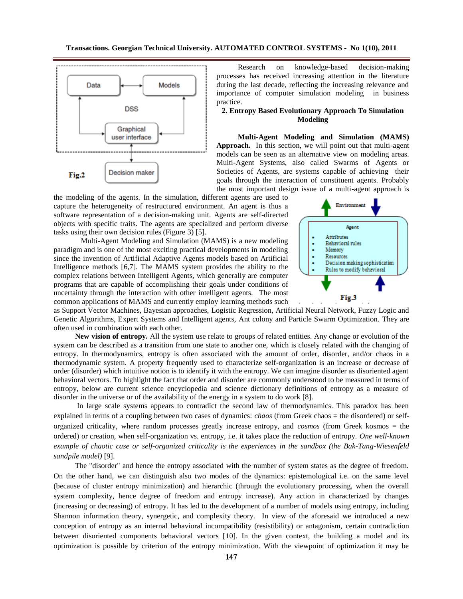

Research on knowledge-based decision-making processes has received increasing attention in the literature during the last decade, reflecting the increasing relevance and importance of computer simulation modeling in business practice.

### **2. Entropy Based Evolutionary Approach To Simulation Modeling**

**Multi-Agent Modeling and Simulation (MAMS) Approach.** In this section, we will point out that multi-agent models can be seen as an alternative view on modeling areas. Multi-Agent Systems, also called Swarms of Agents or Societies of Agents, are systems capable of achieving their goals through the interaction of constituent agents. Probably the most important design issue of a multi-agent approach is

the modeling of the agents. In the simulation, different agents are used to capture the heterogeneity of restructured environment. An agent is thus a software representation of a decision-making unit. Agents are self-directed objects with specific traits. The agents are specialized and perform diverse tasks using their own decision rules (Figure 3) [5].

Multi-Agent Modeling and Simulation (MAMS) is a new modeling paradigm and is one of the most exciting practical developments in modeling since the invention of Artificial Adaptive Agents models based on Artificial Intelligence methods [6,7]. The MAMS system provides the ability to the complex relations between Intelligent Agents, which generally are computer programs that are capable of accomplishing their goals under conditions of uncertainty through the interaction with other intelligent agents. The most common applications of MAMS and currently employ learning methods such



as Support Vector Machines, Bayesian approaches, Logistic Regression, Artificial Neural Network, Fuzzy Logic and Genetic Algorithms, Expert Systems and Intelligent agents, Ant colony and Particle Swarm Optimization. They are often used in combination with each other.

**New vision of entropy.** All the system use relate to groups of related entities. Any change or evolution of the system can be described as a transition from one state to another one, which is closely related with the changing of entropy. In thermodynamics, entropy is often associated with the amount of order, disorder, and/or chaos in a thermodynamic system. A property frequently used to characterize self-organization is an increase or decrease of order (disorder) which intuitive notion is to identify it with the entropy. We can imagine disorder as disoriented agent behavioral vectors. To highlight the fact that order and disorder are commonly understood to be measured in terms of entropy, below are current science encyclopedia and science dictionary definitions of entropy as a measure of disorder in the universe or of the availability of the energy in a system to do work [8].

In large scale systems appears to contradict the second law of thermodynamics. This paradox has been explained in terms of a coupling between two cases of dynamics: *chaos* (from Greek chaos = the disordered) or selforganized criticality, where random processes greatly increase entropy, and *cosmos* (from Greek kosmos = the ordered) or creation, when self-organization vs. entropy, i.e. it takes place the reduction of entropy. *One well-known example of chaotic case or self-organized criticality is the experiences in the sandbox (the Bak-Tang-Wiesenfeld sandpile model)* [9].

The "disorder" and hence the entropy associated with the number of system states as the degree of freedom. On the other hand, we can distinguish also two modes of the dynamics: epistemological i.e. on the same level (because of cluster entropy minimization) and hierarchic (through the evolutionary processing, when the overall system complexity, hence degree of freedom and entropy increase). Any action in characterized by changes (increasing or decreasing) of entropy. It has led to the development of a number of models using entropy, including Shannon information theory, synergetic, and complexity theory. In view of the aforesaid we introduced a new conception of entropy as an internal behavioral incompatibility (resistibility) or antagonism, certain contradiction between disoriented components behavioral vectors [10]. In the given context, the building a model and its optimization is possible by criterion of the entropy minimization. With the viewpoint of optimization it may be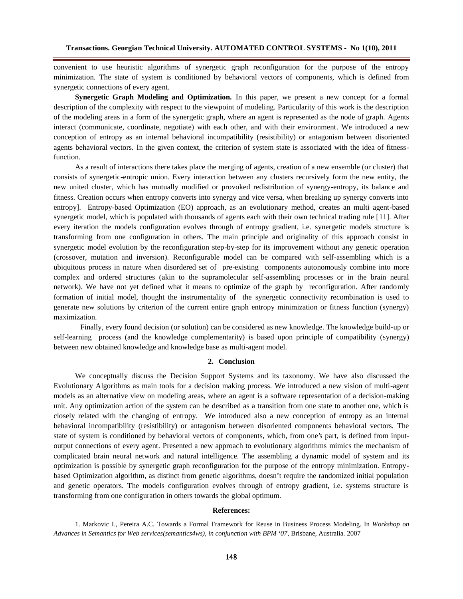convenient to use heuristic algorithms of synergetic graph reconfiguration for the purpose of the entropy minimization. The state of system is conditioned by behavioral vectors of components, which is defined from synergetic connections of every agent.

**Synergetic Graph Modeling and Optimization.** In this paper, we present a new concept for a formal description of the complexity with respect to the viewpoint of modeling. Particularity of this work is the description of the modeling areas in a form of the synergetic graph, where an agent is represented as the node of graph. Agents interact (communicate, coordinate, negotiate) with each other, and with their environment. We introduced a new conception of entropy as an internal behavioral incompatibility (resistibility) or antagonism between disoriented agents behavioral vectors. In the given context, the criterion of system state is associated with the idea of fitnessfunction.

As a result of interactions there takes place the merging of agents, creation of a new ensemble (or cluster) that consists of synergetic-entropic union. Every interaction between any clusters recursively form the new entity, the new united cluster, which has mutually modified or provoked redistribution of synergy-entropy, its balance and fitness. Creation occurs when entropy converts into synergy and vice versa, when breaking up synergy converts into entropy]. Entropy-based Optimization (EO) approach, as an evolutionary method, creates an multi agent-based synergetic model, which is populated with thousands of agents each with their own technical trading rule [11]. After every iteration the models configuration evolves through of entropy gradient, i.e. synergetic models structure is transforming from one configuration in others. The main principle and originality of this approach consist in synergetic model evolution by the reconfiguration step-by-step for its improvement without any genetic operation (crossover, mutation and inversion). Reconfigurable model can be compared with self-assembling which is a ubiquitous process in nature when disordered set of pre-existing components autonomously combine into more complex and ordered structures (akin to the supramolecular self-assembling processes or in the brain neural network). We have not yet defined what it means to optimize of the graph by reconfiguration. After randomly formation of initial model, thought the instrumentality of the synergetic connectivity recombination is used to generate new solutions by criterion of the current entire graph entropy minimization or fitness function (synergy) maximization.

Finally, every found decision (or solution) can be considered as new knowledge. The knowledge build-up or self-learning process (and the knowledge complementarity) is based upon principle of compatibility (synergy) between new obtained knowledge and knowledge base as multi-agent model.

## **2. Conclusion**

We conceptually discuss the Decision Support Systems and its taxonomy. We have also discussed the Evolutionary Algorithms as main tools for a decision making process. We introduced a new vision of multi-agent models as an alternative view on modeling areas, where an agent is a software representation of a decision-making unit. Any optimization action of the system can be described as a transition from one state to another one, which is closely related with the changing of entropy. We introduced also a new conception of entropy as an internal behavioral incompatibility (resistibility) or antagonism between disoriented components behavioral vectors. The state of system is conditioned by behavioral vectors of components, which, from one's part, is defined from inputoutput connections of every agent. Presented a new approach to evolutionary algorithms mimics the mechanism of complicated brain neural network and natural intelligence. The assembling a dynamic model of system and its optimization is possible by synergetic graph reconfiguration for the purpose of the entropy minimization. Entropybased Optimization algorithm, as distinct from genetic algorithms, doesn't require the randomized initial population and genetic operators. The models configuration evolves through of entropy gradient, i.e. systems structure is transforming from one configuration in others towards the global optimum.

#### **References:**

1. Markovic I., Pereira A.C. Towards a Formal Framework for Reuse in Business Process Modeling. In *Workshop on Advances in Semantics for Web services(semantics4ws), in conjunction with BPM '07*, Brisbane, Australia. 2007